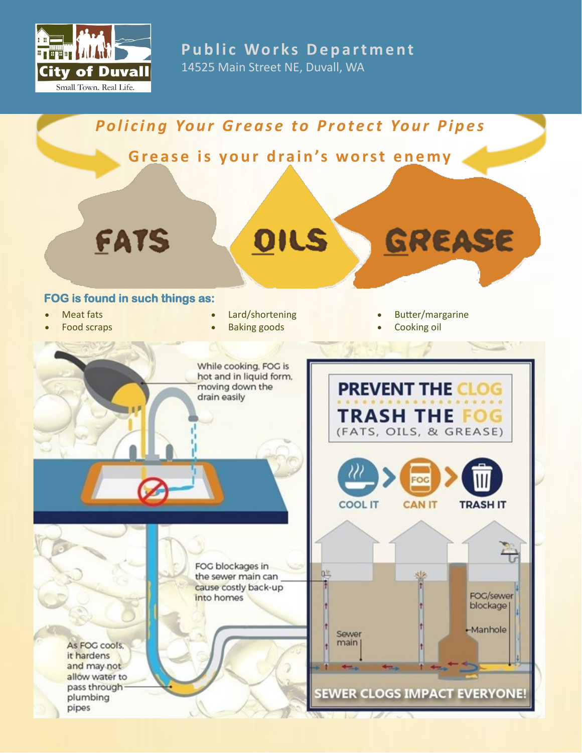

**Public Works Department** 14525 Main Street NE, Duvall, WA

# **Policing Your Grease to Protect Your Pipes**

Grease is your drain's worst enemy

OILS



FATS

# **FOG is found in such things as:**

- **Meat fats**
- Food scraps
- Lard/shortening
- Baking goods

While cooking. FOG is hot and in liquid form. • Butter/margarine

GREASE

Cooking oil